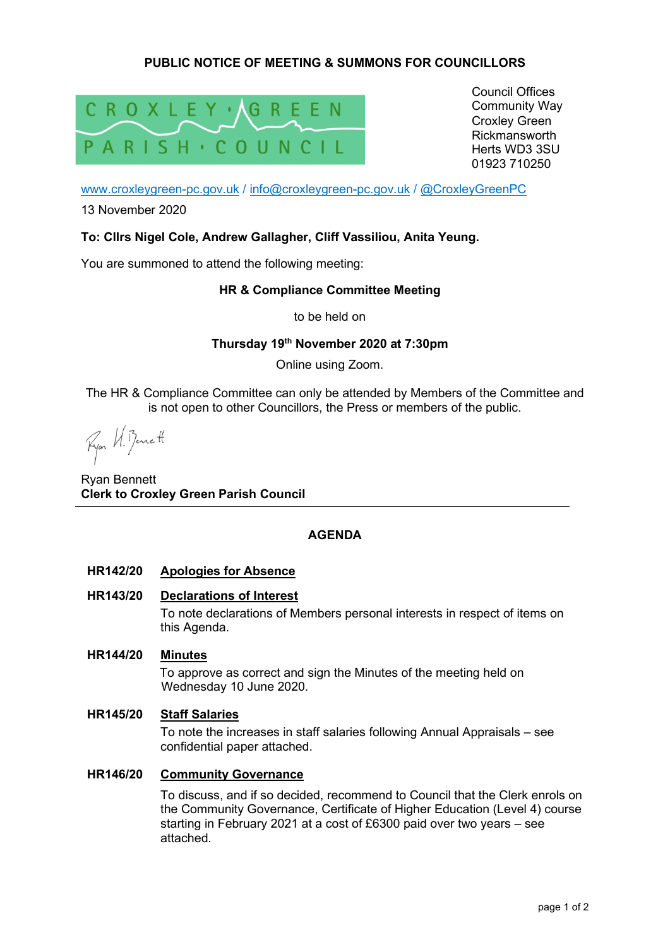# **PUBLIC NOTICE OF MEETING & SUMMONS FOR COUNCILLORS**



Council Offices Community Way Croxley Green Rickmansworth Herts WD3 3SU 01923 710250

www.croxleygreen-pc.gov.uk / info@croxleygreen-pc.gov.uk / @CroxleyGreenPC

13 November 2020

### **To: Cllrs Nigel Cole, Andrew Gallagher, Cliff Vassiliou, Anita Yeung.**

You are summoned to attend the following meeting:

### **HR & Compliance Committee Meeting**

to be held on

## **Thursday 19th November 2020 at 7:30pm**

Online using Zoom.

The HR & Compliance Committee can only be attended by Members of the Committee and is not open to other Councillors, the Press or members of the public.

Ryon H. Bennett

Ryan Bennett **Clerk to Croxley Green Parish Council** 

### **AGENDA**

#### **HR142/20 Apologies for Absence**

#### **HR143/20 Declarations of Interest**

To note declarations of Members personal interests in respect of items on this Agenda.

### **HR144/20 Minutes**

To approve as correct and sign the Minutes of the meeting held on Wednesday 10 June 2020.

#### **HR145/20 Staff Salaries**

To note the increases in staff salaries following Annual Appraisals – see confidential paper attached.

#### **HR146/20 Community Governance**

To discuss, and if so decided, recommend to Council that the Clerk enrols on the Community Governance, Certificate of Higher Education (Level 4) course starting in February 2021 at a cost of £6300 paid over two years – see attached.